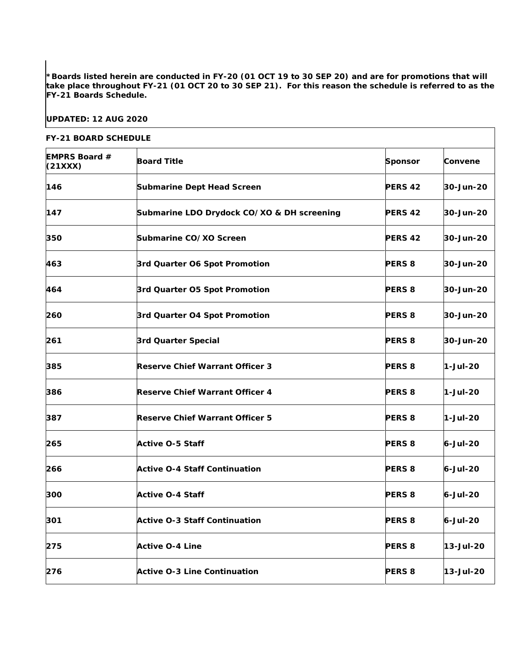**\*Boards listed herein are conducted in FY-20 (01 OCT 19 to 30 SEP 20) and are for promotions that will take place throughout FY-21 (01 OCT 20 to 30 SEP 21). For this reason the schedule is referred to as the FY-21 Boards Schedule.**

## **UPDATED: 12 AUG 2020**

## **FY-21 BOARD SCHEDULE**

| <b>EMPRS Board #</b><br>(21XXX) | <b>Board Title</b>                         | <b>Sponsor</b>     | Convene    |
|---------------------------------|--------------------------------------------|--------------------|------------|
| 146                             | <b>Submarine Dept Head Screen</b>          | <b>PERS 42</b>     | 30-Jun-20  |
| 147                             | Submarine LDO Drydock CO/XO & DH screening | <b>PERS 42</b>     | 30-Jun-20  |
| 350                             | Submarine CO/XO Screen                     | PERS <sub>42</sub> | 30-Jun-20  |
| 463                             | 3rd Quarter O6 Spot Promotion              | <b>PERS 8</b>      | 30-Jun-20  |
| 464                             | 3rd Quarter O5 Spot Promotion              | <b>PERS 8</b>      | 30-Jun-20  |
| 260                             | 3rd Quarter O4 Spot Promotion              | <b>PERS 8</b>      | 30-Jun-20  |
| 261                             | 3rd Quarter Special                        | <b>PERS 8</b>      | 30-Jun-20  |
| 385                             | <b>Reserve Chief Warrant Officer 3</b>     | <b>PERS 8</b>      | $1-Jul-20$ |
| 386                             | <b>Reserve Chief Warrant Officer 4</b>     | <b>PERS 8</b>      | 1-Jul-20   |
| 387                             | <b>Reserve Chief Warrant Officer 5</b>     | <b>PERS 8</b>      | 1-Jul-20   |
| 265                             | <b>Active O-5 Staff</b>                    | <b>PERS 8</b>      | 6-Jul-20   |
| 266                             | <b>Active O-4 Staff Continuation</b>       | <b>PERS 8</b>      | 6-Jul-20   |
| 300                             | <b>Active O-4 Staff</b>                    | <b>PERS 8</b>      | 6-Jul-20   |
| 301                             | <b>Active O-3 Staff Continuation</b>       | <b>PERS 8</b>      | 6-Jul-20   |
| 275                             | <b>Active O-4 Line</b>                     | <b>PERS 8</b>      | 13-Jul-20  |
| 276                             | <b>Active O-3 Line Continuation</b>        | <b>PERS 8</b>      | 13-Jul-20  |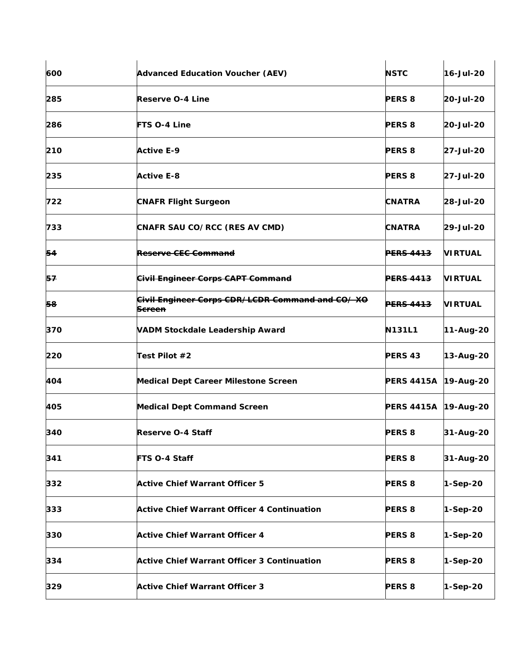| 600 | <b>Advanced Education Voucher (AEV)</b>                              | <b>NSTC</b>            | 16-Jul-20      |
|-----|----------------------------------------------------------------------|------------------------|----------------|
| 285 | <b>Reserve O-4 Line</b>                                              | <b>PERS 8</b>          | 20-Jul-20      |
| 286 | FTS O-4 Line                                                         | <b>PERS 8</b>          | 20-Jul-20      |
| 210 | <b>Active E-9</b>                                                    | <b>PERS 8</b>          | 27-Jul-20      |
| 235 | <b>Active E-8</b>                                                    | <b>PERS 8</b>          | 27-Jul-20      |
| 722 | <b>CNAFR Flight Surgeon</b>                                          | <b>CNATRA</b>          | 28-Jul-20      |
| 733 | <b>CNAFR SAU CO/RCC (RES AV CMD)</b>                                 | <b>CNATRA</b>          | 29-Jul-20      |
| 54  | Reserve CE <del>C Command</del>                                      | <b>PERS 4413</b>       | <b>VIRTUAL</b> |
| 57  | <b>Civil Engineer Corps CAPT Command</b>                             | <b>PERS 4413</b>       | <b>VIRTUAL</b> |
| 58  | Civil Engineer Corps CDR/LCDR Command and CO/XO<br><del>Screen</del> | <del>PERS 4413</del>   | <b>VIRTUAL</b> |
| 370 | <b>VADM Stockdale Leadership Award</b>                               | <b>N131L1</b>          | 11-Aug-20      |
| 220 | Test Pilot #2                                                        | <b>PERS 43</b>         | 13-Aug-20      |
| 404 | <b>Medical Dept Career Milestone Screen</b>                          | PERS 4415A   19-Aug-20 |                |
| 405 | <b>Medical Dept Command Screen</b>                                   | PERS 4415A 19-Aug-20   |                |
| 340 | Reserve O-4 Staff                                                    | <b>PERS 8</b>          | 31-Aug-20      |
| 341 | FTS O-4 Staff                                                        | <b>PERS 8</b>          | 31-Aug-20      |
| 332 | <b>Active Chief Warrant Officer 5</b>                                | <b>PERS 8</b>          | $1-Sep-20$     |
| 333 | Active Chief Warrant Officer 4 Continuation                          | <b>PERS 8</b>          | 1-Sep-20       |
| 330 | <b>Active Chief Warrant Officer 4</b>                                | <b>PERS 8</b>          | $1-Sep-20$     |
| 334 | <b>Active Chief Warrant Officer 3 Continuation</b>                   | <b>PERS 8</b>          | 1-Sep-20       |
| 329 | <b>Active Chief Warrant Officer 3</b>                                | <b>PERS 8</b>          | 1-Sep-20       |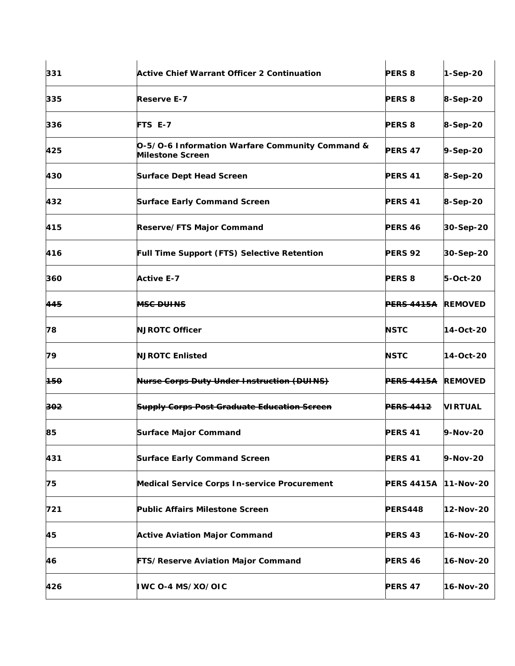| 331            | <b>Active Chief Warrant Officer 2 Continuation</b>                         | <b>PERS 8</b>         | 1-Sep-20       |
|----------------|----------------------------------------------------------------------------|-----------------------|----------------|
| 335            | <b>Reserve E-7</b>                                                         | <b>PERS 8</b>         | 8-Sep-20       |
| 336            | FTS E-7                                                                    | <b>PERS 8</b>         | 8-Sep-20       |
| 425            | O-5/O-6 Information Warfare Community Command &<br><b>Milestone Screen</b> | PERS <sub>47</sub>    | 9-Sep-20       |
| 430            | <b>Surface Dept Head Screen</b>                                            | PERS <sub>41</sub>    | 8-Sep-20       |
| 432            | <b>Surface Early Command Screen</b>                                        | <b>PERS 41</b>        | 8-Sep-20       |
| 415            | Reserve/FTS Major Command                                                  | PERS <sub>46</sub>    | 30-Sep-20      |
| 416            | <b>Full Time Support (FTS) Selective Retention</b>                         | <b>PERS 92</b>        | 30-Sep-20      |
| 360            | <b>Active E-7</b>                                                          | <b>PERS 8</b>         | 5-Oct-20       |
| 445            | <b>MSC DUINS</b>                                                           | <del>PERS 4415A</del> | <b>REMOVED</b> |
| 78             | <b>NJROTC Officer</b>                                                      | <b>NSTC</b>           | 14-Oct-20      |
| 79             | <b>NJROTC Enlisted</b>                                                     | <b>NSTC</b>           | 14-Oct-20      |
| <del>150</del> | <b>Nurse Corps Duty Under Instruction (DUINS)</b>                          | <del>PERS 4415A</del> | <b>REMOVED</b> |
| 302            | <b>Supply Corps Post Graduate Education Screen</b>                         | <b>PERS 4412</b>      | <b>VIRTUAL</b> |
| 85             | <b>Surface Major Command</b>                                               | <b>PERS 41</b>        | 9-Nov-20       |
| 431            | <b>Surface Early Command Screen</b>                                        | <b>PERS 41</b>        | 9-Nov-20       |
| 75             | <b>Medical Service Corps In-service Procurement</b>                        | PERS 4415A 11-Nov-20  |                |
| 721            | <b>Public Affairs Milestone Screen</b>                                     | <b>PERS448</b>        | 12-Nov-20      |
| 45             | <b>Active Aviation Major Command</b>                                       | PERS 43               | 16-Nov-20      |
| 46             | FTS/Reserve Aviation Major Command                                         | <b>PERS 46</b>        | 16-Nov-20      |
| 426            | IWC 0-4 MS/XO/OIC                                                          | <b>PERS 47</b>        | 16-Nov-20      |